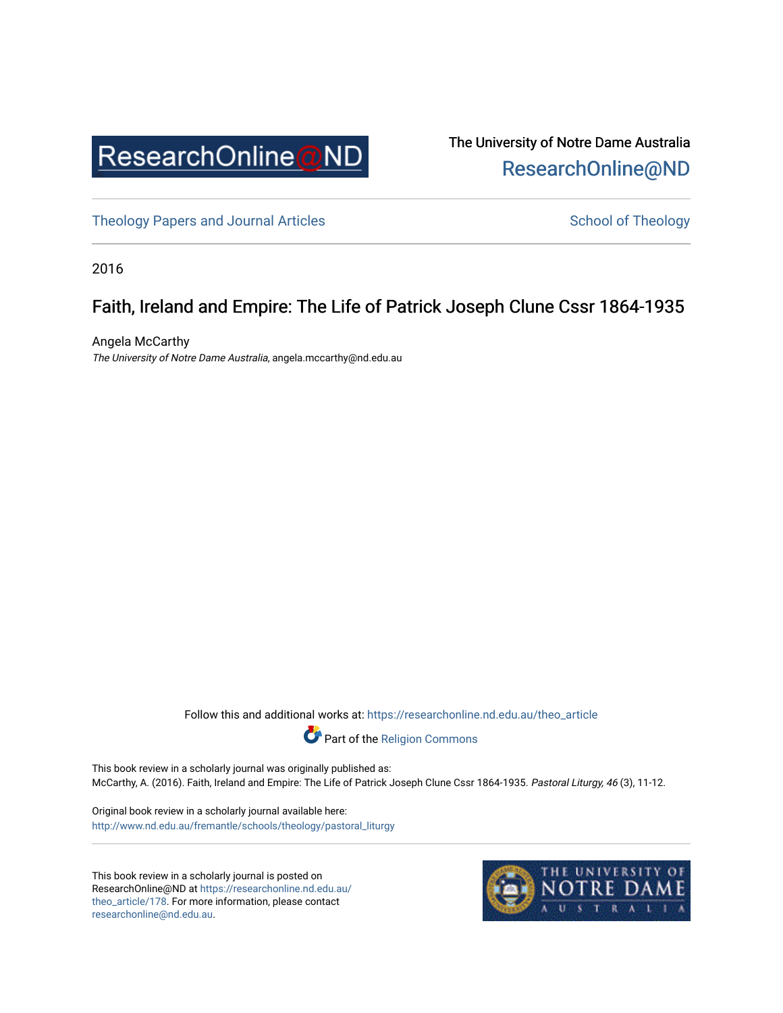

The University of Notre Dame Australia [ResearchOnline@ND](https://researchonline.nd.edu.au/) 

[Theology Papers and Journal Articles](https://researchonline.nd.edu.au/theo_article) and [School of Theology](https://researchonline.nd.edu.au/theo) School of Theology

2016

## Faith, Ireland and Empire: The Life of Patrick Joseph Clune Cssr 1864-1935

Angela McCarthy The University of Notre Dame Australia, angela.mccarthy@nd.edu.au

Follow this and additional works at: [https://researchonline.nd.edu.au/theo\\_article](https://researchonline.nd.edu.au/theo_article?utm_source=researchonline.nd.edu.au%2Ftheo_article%2F178&utm_medium=PDF&utm_campaign=PDFCoverPages) 



This book review in a scholarly journal was originally published as: McCarthy, A. (2016). Faith, Ireland and Empire: The Life of Patrick Joseph Clune Cssr 1864-1935. Pastoral Liturgy, 46 (3), 11-12.

Original book review in a scholarly journal available here: [http://www.nd.edu.au/fremantle/schools/theology/pastoral\\_liturgy](http://www.nd.edu.au/fremantle/schools/theology/pastoral_liturgy) 

This book review in a scholarly journal is posted on ResearchOnline@ND at [https://researchonline.nd.edu.au/](https://researchonline.nd.edu.au/theo_article/178) [theo\\_article/178](https://researchonline.nd.edu.au/theo_article/178). For more information, please contact [researchonline@nd.edu.au.](mailto:researchonline@nd.edu.au)

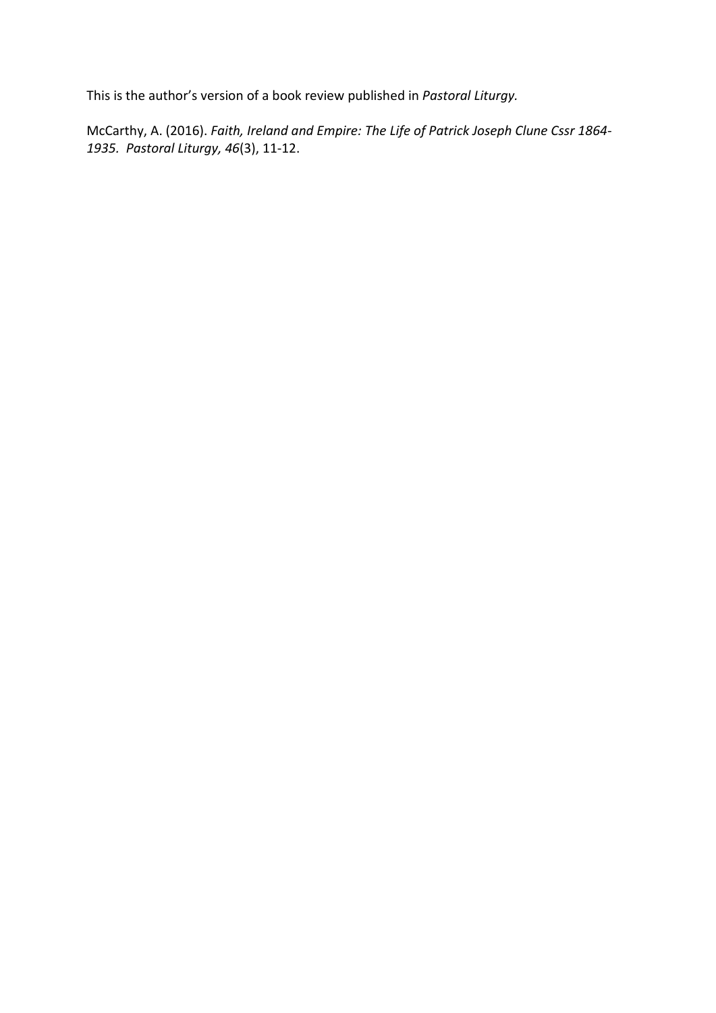This is the author's version of a book review published in *Pastoral Liturgy.*

McCarthy, A. (2016). *Faith, Ireland and Empire: The Life of Patrick Joseph Clune Cssr 1864- 1935. Pastoral Liturgy, 46*(3), 11-12.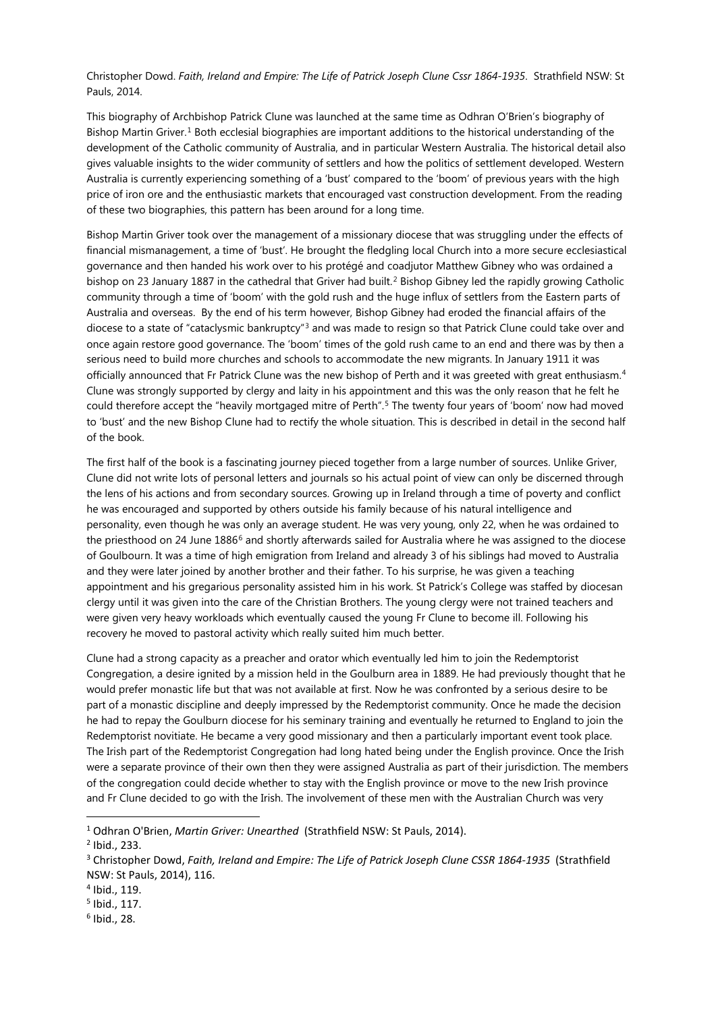Christopher Dowd. *Faith, Ireland and Empire: The Life of Patrick Joseph Clune Cssr 1864-1935*. Strathfield NSW: St Pauls, 2014.

This biography of Archbishop Patrick Clune was launched at the same time as Odhran O'Brien's biography of Bishop Martin Griver.<sup>[1](#page-2-0)</sup> Both ecclesial biographies are important additions to the historical understanding of the development of the Catholic community of Australia, and in particular Western Australia. The historical detail also gives valuable insights to the wider community of settlers and how the politics of settlement developed. Western Australia is currently experiencing something of a 'bust' compared to the 'boom' of previous years with the high price of iron ore and the enthusiastic markets that encouraged vast construction development. From the reading of these two biographies, this pattern has been around for a long time.

Bishop Martin Griver took over the management of a missionary diocese that was struggling under the effects of financial mismanagement, a time of 'bust'. He brought the fledgling local Church into a more secure ecclesiastical governance and then handed his work over to his protégé and coadjutor Matthew Gibney who was ordained a bishop on [2](#page-2-1)3 January 1887 in the cathedral that Griver had built.<sup>2</sup> Bishop Gibney led the rapidly growing Catholic community through a time of 'boom' with the gold rush and the huge influx of settlers from the Eastern parts of Australia and overseas. By the end of his term however, Bishop Gibney had eroded the financial affairs of the diocese to a state of "cataclysmic bankruptcy"<sup>[3](#page-2-2)</sup> and was made to resign so that Patrick Clune could take over and once again restore good governance. The 'boom' times of the gold rush came to an end and there was by then a serious need to build more churches and schools to accommodate the new migrants. In January 1911 it was officially announced that Fr Patrick Clune was the new bishop of Perth and it was greeted with great enthusiasm.<sup>[4](#page-2-3)</sup> Clune was strongly supported by clergy and laity in his appointment and this was the only reason that he felt he could therefore accept the "heavily mortgaged mitre of Perth". [5](#page-2-4) The twenty four years of 'boom' now had moved to 'bust' and the new Bishop Clune had to rectify the whole situation. This is described in detail in the second half of the book.

The first half of the book is a fascinating journey pieced together from a large number of sources. Unlike Griver, Clune did not write lots of personal letters and journals so his actual point of view can only be discerned through the lens of his actions and from secondary sources. Growing up in Ireland through a time of poverty and conflict he was encouraged and supported by others outside his family because of his natural intelligence and personality, even though he was only an average student. He was very young, only 22, when he was ordained to the priesthood on 24 June 188[6](#page-2-5)<sup>6</sup> and shortly afterwards sailed for Australia where he was assigned to the diocese of Goulbourn. It was a time of high emigration from Ireland and already 3 of his siblings had moved to Australia and they were later joined by another brother and their father. To his surprise, he was given a teaching appointment and his gregarious personality assisted him in his work. St Patrick's College was staffed by diocesan clergy until it was given into the care of the Christian Brothers. The young clergy were not trained teachers and were given very heavy workloads which eventually caused the young Fr Clune to become ill. Following his recovery he moved to pastoral activity which really suited him much better.

Clune had a strong capacity as a preacher and orator which eventually led him to join the Redemptorist Congregation, a desire ignited by a mission held in the Goulburn area in 1889. He had previously thought that he would prefer monastic life but that was not available at first. Now he was confronted by a serious desire to be part of a monastic discipline and deeply impressed by the Redemptorist community. Once he made the decision he had to repay the Goulburn diocese for his seminary training and eventually he returned to England to join the Redemptorist novitiate. He became a very good missionary and then a particularly important event took place. The Irish part of the Redemptorist Congregation had long hated being under the English province. Once the Irish were a separate province of their own then they were assigned Australia as part of their jurisdiction. The members of the congregation could decide whether to stay with the English province or move to the new Irish province and Fr Clune decided to go with the Irish. The involvement of these men with the Australian Church was very

**.** 

<span id="page-2-0"></span><sup>1</sup> Odhran O'Brien, *Martin Griver: Unearthed* (Strathfield NSW: St Pauls, 2014).

<span id="page-2-1"></span><sup>2</sup> Ibid., 233.

<span id="page-2-2"></span><sup>3</sup> Christopher Dowd, *Faith, Ireland and Empire: The Life of Patrick Joseph Clune CSSR 1864-1935* (Strathfield NSW: St Pauls, 2014), 116.

<span id="page-2-3"></span><sup>4</sup> Ibid., 119.

<span id="page-2-4"></span><sup>5</sup> Ibid., 117.

<span id="page-2-5"></span> $6$  Ibid., 28.